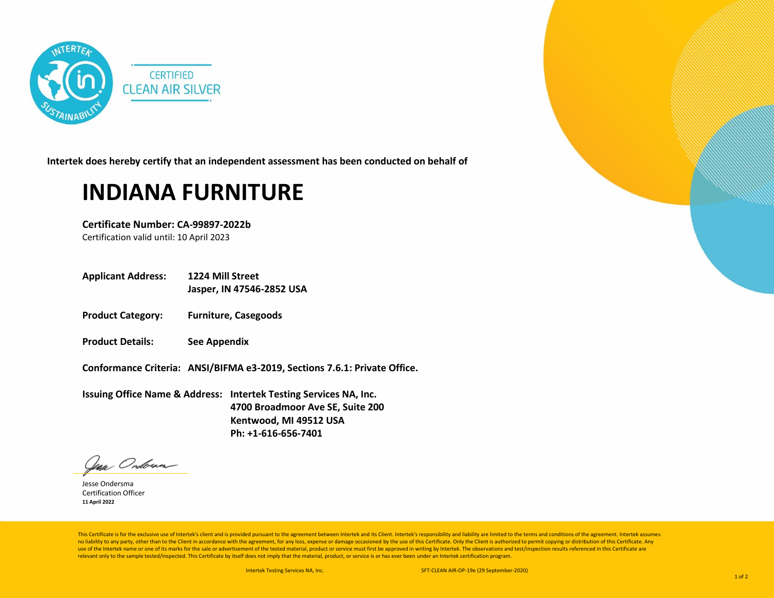

**Intertek does hereby certify that an independent assessment has been conducted on behalf of**

## **INDIANA FURNITURE**

**Certificate Number: CA-99897-2022b** Certification valid until: 10 April 2023

**Applicant Address: 1224 Mill Street**

**Jasper, IN 47546-2852 USA** 

- **Product Category: Furniture, Casegoods**
- **Product Details: See Appendix**

**Conformance Criteria: ANSI/BIFMA e3-2019, Sections 7.6.1: Private Office.**

**Issuing Office Name & Address: Intertek Testing Services NA, Inc. 4700 Broadmoor Ave SE, Suite 200 Kentwood, MI 49512 USA Ph: +1-616-656-7401**

Var Ondoran

Jesse Ondersma Certification Officer **11 April 2022**

This Certificate is for the exclusive use of Intertek's client and is provided pursuant to the agreement between Intertek and its Client. Intertek's responsibility and liability are limited to the terms and conditions of t no liability to any party, other than to the Client in accordance with the agreement, for any loss, expense or damage occasioned by the use of this Certificate. Only the Client is authorized to permit copying or distributi use of the Intertek name or one of its marks for the sale or advertisement of the tested material, product or service must first be approved in writing by Intertek. The observations and test/inspection results referenced i relevant only to the sample tested/inspected. This Certificate by itself does not imply that the material, product, or service is or has ever been under an Intertek certification program.